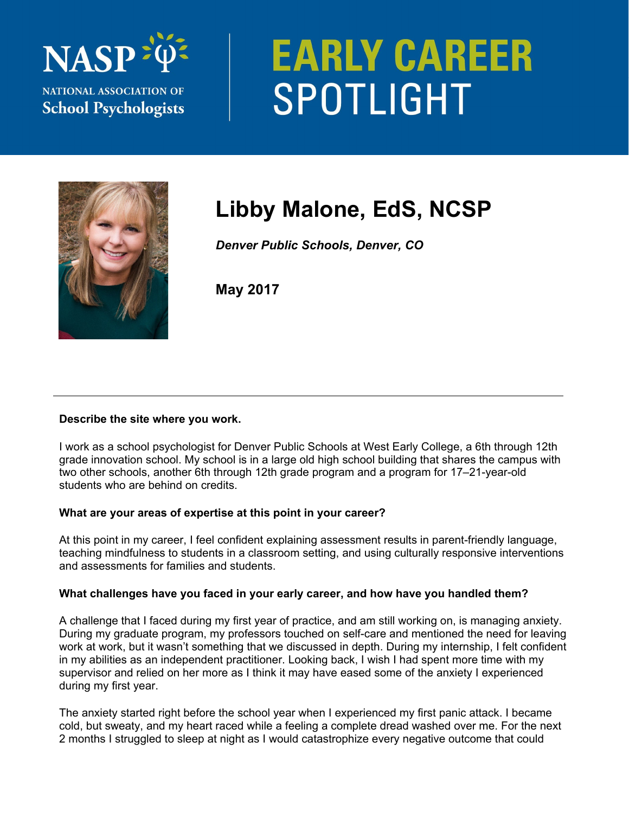

# **EARLY CAREER** SPOTLIGHT



## **Libby Malone, EdS, NCSP**

*Denver Public Schools, Denver, CO* 

**May 2017** 

### **Describe the site where you work.**

I work as a school psychologist for Denver Public Schools at West Early College, a 6th through 12th grade innovation school. My school is in a large old high school building that shares the campus with two other schools, another 6th through 12th grade program and a program for 17–21-year-old students who are behind on credits.

### **What are your areas of expertise at this point in your career?**

At this point in my career, I feel confident explaining assessment results in parent-friendly language, teaching mindfulness to students in a classroom setting, and using culturally responsive interventions and assessments for families and students.

### **What challenges have you faced in your early career, and how have you handled them?**

A challenge that I faced during my first year of practice, and am still working on, is managing anxiety. During my graduate program, my professors touched on self-care and mentioned the need for leaving work at work, but it wasn't something that we discussed in depth. During my internship, I felt confident in my abilities as an independent practitioner. Looking back, I wish I had spent more time with my supervisor and relied on her more as I think it may have eased some of the anxiety I experienced during my first year.

The anxiety started right before the school year when I experienced my first panic attack. I became cold, but sweaty, and my heart raced while a feeling a complete dread washed over me. For the next 2 months I struggled to sleep at night as I would catastrophize every negative outcome that could